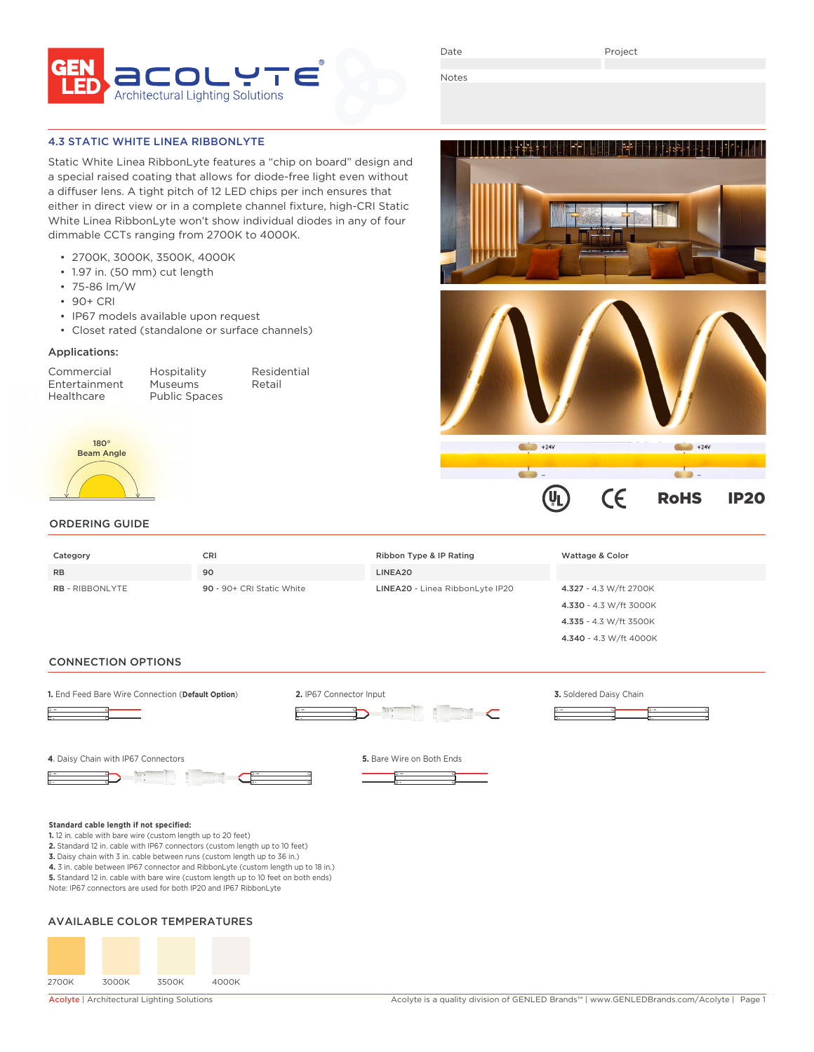

Date

Project

den bibliotech i bereiche Persial and a

Notes

### 4.3 STATIC WHITE LINEA RIBBONLYTE

Static White Linea RibbonLyte features a "chip on board" design and a special raised coating that allows for diode-free light even without a diffuser lens. A tight pitch of 12 LED chips per inch ensures that either in direct view or in a complete channel fixture, high-CRI Static White Linea RibbonLyte won't show individual diodes in any of four dimmable CCTs ranging from 2700K to 4000K.

- 2700K, 3000K, 3500K, 4000K
- 1.97 in. (50 mm) cut length
- 75-86 lm/W
- 90+ CRI
- IP67 models available upon request
- Closet rated (standalone or surface channels)

## Applications:

Commercial Hospitality Residential Entertainment Museums<br>
Healthcare Public Sp

Public Spaces



### ORDERING GUIDE

| Category               | CRI                       | Ribbon Type & IP Rating         | Wattage & Color        |
|------------------------|---------------------------|---------------------------------|------------------------|
| <b>RB</b>              | 90                        | LINEA20                         |                        |
| <b>RB</b> - RIBBONLYTE | 90 - 90+ CRI Static White | LINEA20 - Linea RibbonLyte IP20 | 4.327 - 4.3 W/ft 2700K |
|                        |                           |                                 | 4.330 - 4.3 W/ft 3000K |
|                        |                           |                                 | 4.335 - 4.3 W/ft 3500K |

#### CONNECTION OPTIONS



**3.** Daisy chain with 3 in. cable between runs (custom length up to 36 in.)

**4.** 3 in. cable between IP67 connector and RibbonLyte (custom length up to 18 in.)

**5.** Standard 12 in. cable with bare wire (custom length up to 10 feet on both ends) Note: IP67 connectors are used for both IP20 and IP67 RibbonLyte

# AVAILABLE COLOR TEMPERATURES



4.340 - 4.3 W/ft 4000K

 $\epsilon$ 

 $+24V$ 

 $\mathbf{U}_{\mathbf{L}}$ 

RoHS IP20

 $+24V$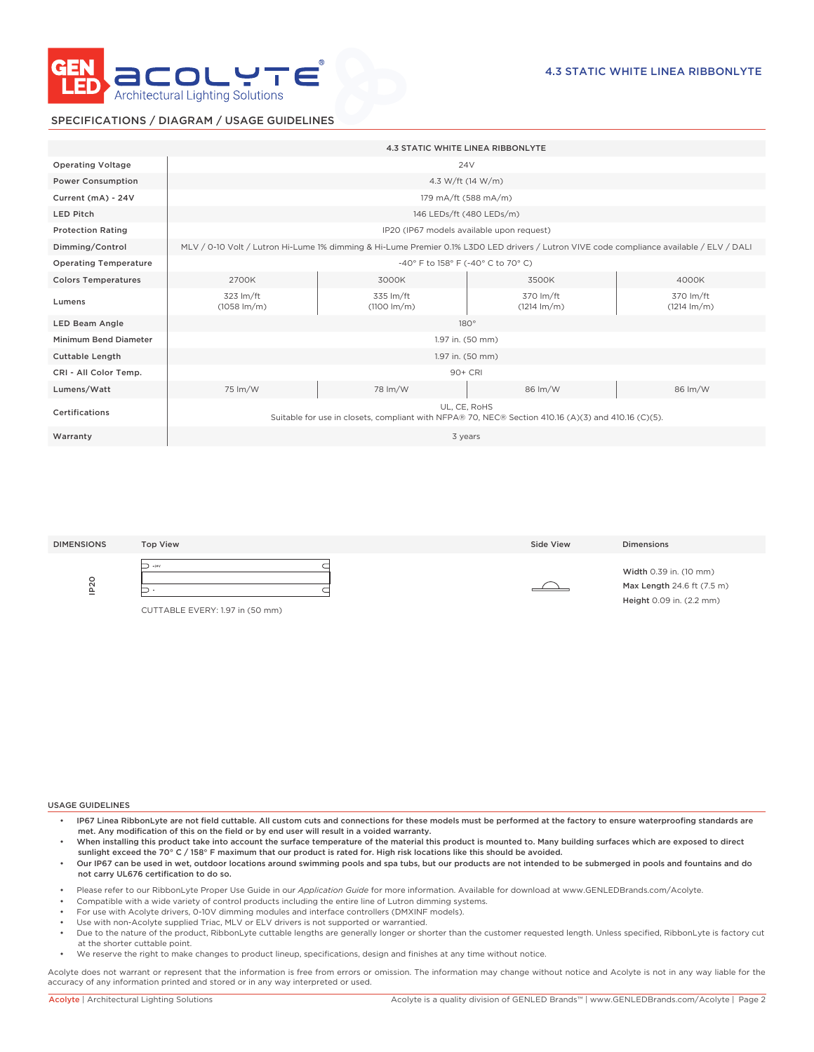

## SPECIFICATIONS / DIAGRAM / USAGE GUIDELINES

|                              | <b>4.3 STATIC WHITE LINEA RIBBONLYTE</b>                                                                                                 |                                      |                                    |                                    |  |
|------------------------------|------------------------------------------------------------------------------------------------------------------------------------------|--------------------------------------|------------------------------------|------------------------------------|--|
| <b>Operating Voltage</b>     | 24 <sub>V</sub>                                                                                                                          |                                      |                                    |                                    |  |
| <b>Power Consumption</b>     | 4.3 W/ft (14 W/m)                                                                                                                        |                                      |                                    |                                    |  |
| Current (mA) - 24V           | 179 mA/ft (588 mA/m)                                                                                                                     |                                      |                                    |                                    |  |
| <b>LED Pitch</b>             | 146 LEDs/ft (480 LEDs/m)                                                                                                                 |                                      |                                    |                                    |  |
| <b>Protection Rating</b>     | IP20 (IP67 models available upon request)                                                                                                |                                      |                                    |                                    |  |
| Dimming/Control              | MLV / 0-10 Volt / Lutron Hi-Lume 1% dimming & Hi-Lume Premier 0.1% L3D0 LED drivers / Lutron VIVE code compliance available / ELV / DALI |                                      |                                    |                                    |  |
| <b>Operating Temperature</b> | -40° F to 158° F (-40° C to 70° C)                                                                                                       |                                      |                                    |                                    |  |
| <b>Colors Temperatures</b>   | 2700K                                                                                                                                    | 3000K                                | 3500K                              | 4000K                              |  |
| Lumens                       | 323 lm/ft<br>$(1058 \, \text{Im/m})$                                                                                                     | 335 lm/ft<br>$(1100 \, \text{Im/m})$ | 370 lm/ft<br>$(1214 \text{ lm/m})$ | 370 lm/ft<br>$(1214 \text{ Im/m})$ |  |
| <b>LED Beam Angle</b>        | $180^\circ$                                                                                                                              |                                      |                                    |                                    |  |
| <b>Minimum Bend Diameter</b> | 1.97 in. (50 mm)                                                                                                                         |                                      |                                    |                                    |  |
| <b>Cuttable Length</b>       | 1.97 in. (50 mm)                                                                                                                         |                                      |                                    |                                    |  |
| CRI - All Color Temp.        | 90+ CRI                                                                                                                                  |                                      |                                    |                                    |  |
| Lumens/Watt                  | 75 lm/W                                                                                                                                  | 78 lm/W                              | 86 lm/W                            | 86 lm/W                            |  |
| Certifications               | UL. CE. RoHS<br>Suitable for use in closets, compliant with NFPA® 70, NEC® Section 410.16 (A)(3) and 410.16 (C)(5).                      |                                      |                                    |                                    |  |
| Warranty                     | 3 years                                                                                                                                  |                                      |                                    |                                    |  |

| <b>DIMENSIONS</b> | <b>Top View</b>                 | Side View | <b>Dimensions</b>          |
|-------------------|---------------------------------|-----------|----------------------------|
| $\circ$           | $+24V$                          |           | Width 0.39 in. (10 mm)     |
| $\sim$            | Ξ                               |           | Max Length 24.6 ft (7.5 m) |
| 으                 | CUTTABLE EVERY: 1.97 in (50 mm) |           | Height 0.09 in. (2.2 mm)   |

#### USAGE GUIDELINES

- IP67 Linea RibbonLyte are not field cuttable. All custom cuts and connections for these models must be performed at the factory to ensure waterproofing standards are met. Any modification of this on the field or by end user will result in a voided warranty.
- When installing this product take into account the surface temperature of the material this product is mounted to. Many building surfaces which are exposed to direct sunlight exceed the 70° C / 158° F maximum that our product is rated for. High risk locations like this should be avoided.
- Our IP67 can be used in wet, outdoor locations around swimming pools and spa tubs, but our products are not intended to be submerged in pools and fountains and do not carry UL676 certification to do so.
- Please refer to our RibbonLyte Proper Use Guide in our *Application Guide* for more information. Available for download at www.GENLEDBrands.com/Acolyte.
- Compatible with a wide variety of control products including the entire line of Lutron dimming systems.
- For use with Acolyte drivers, 0-10V dimming modules and interface controllers (DMXINF models).
- Use with non-Acolyte supplied Triac, MLV or ELV drivers is not supported or warrantied.
- Due to the nature of the product, RibbonLyte cuttable lengths are generally longer or shorter than the customer requested length. Unless specified, RibbonLyte is factory cut at the shorter cuttable point.
- We reserve the right to make changes to product lineup, specifications, design and finishes at any time without notice.

Acolyte does not warrant or represent that the information is free from errors or omission. The information may change without notice and Acolyte is not in any way liable for the accuracy of any information printed and stored or in any way interpreted or used.